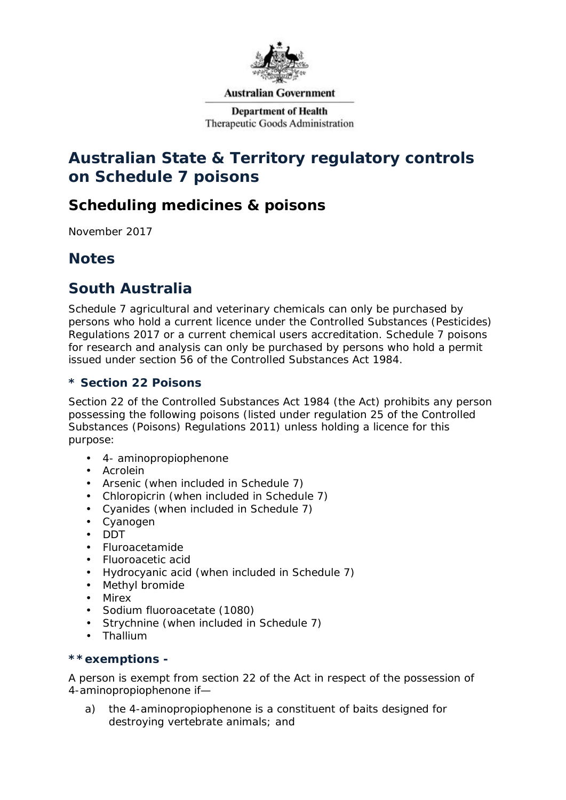

#### **Australian Government**

**Department of Health** Therapeutic Goods Administration

## **Australian State & Territory regulatory controls on Schedule 7 poisons**

### **Scheduling medicines & poisons**

*November 2017* 

### **Notes**

### **South Australia**

Schedule 7 agricultural and veterinary chemicals can only be purchased by persons who hold a current licence under the *Controlled Substances (Pesticides) Regulations 2017* or a current chemical users accreditation. Schedule 7 poisons for research and analysis can only be purchased by persons who hold a permit issued under section 56 of *the Controlled Substances Act 1984*.

#### *\* Section 22 Poisons*

Section 22 of the *Controlled Substances Act 1984* (the Act) prohibits any person possessing the following poisons (listed under regulation 25 of the *Controlled Substances (Poisons) Regulations 2011*) unless holding a licence for this purpose:

- 4- aminopropiophenone
- Acrolein
- Arsenic (when included in Schedule 7)
- Chloropicrin (when included in Schedule 7)
- Cyanides (when included in Schedule 7)
- Cyanogen
- **DDT**
- Fluroacetamide
- Fluoroacetic acid
- Hydrocyanic acid (when included in Schedule 7)  $\mathbf{r}$
- Methyl bromide
- Mirex
- Sodium fluoroacetate (1080)
- Strychnine (when included in Schedule 7)
- Thallium

#### *\*\*exemptions -*

A person is exempt from section 22 of the Act in respect of the possession of 4-aminopropiophenone if—

a) the 4-aminopropiophenone is a constituent of baits designed for destroying vertebrate animals; and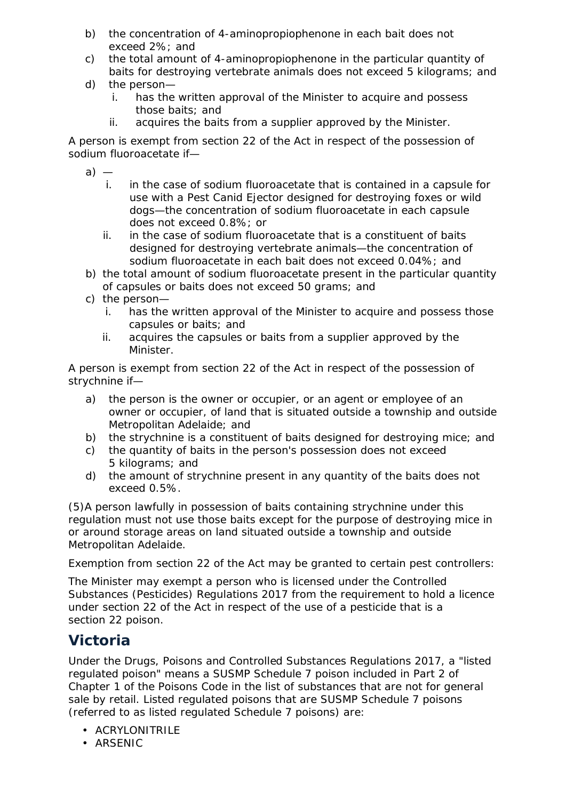- b) the concentration of 4-aminopropiophenone in each bait does not exceed 2%; and
- c) the total amount of 4-aminopropiophenone in the particular quantity of baits for destroying vertebrate animals does not exceed 5 kilograms; and
- d) the person
	- i. has the written approval of the Minister to acquire and possess those baits; and
	- ii. acquires the baits from a supplier approved by the Minister.

A person is exempt from section 22 of the Act in respect of the possession of sodium fluoroacetate if—

- $a)$ 
	- i. in the case of sodium fluoroacetate that is contained in a capsule for use with a Pest Canid Ejector designed for destroying foxes or wild dogs—the concentration of sodium fluoroacetate in each capsule does not exceed 0.8%; or
	- ii. in the case of sodium fluoroacetate that is a constituent of baits designed for destroying vertebrate animals—the concentration of sodium fluoroacetate in each bait does not exceed 0.04%; and
- b) the total amount of sodium fluoroacetate present in the particular quantity of capsules or baits does not exceed 50 grams; and
- c) the person
	- i. has the written approval of the Minister to acquire and possess those capsules or baits; and
	- ii. acquires the capsules or baits from a supplier approved by the Minister.

A person is exempt from section 22 of the Act in respect of the possession of strychnine if—

- a) the person is the owner or occupier, or an agent or employee of an owner or occupier, of land that is situated outside a township and outside Metropolitan Adelaide; and
- b) the strychnine is a constituent of baits designed for destroying mice; and
- c) the quantity of baits in the person's possession does not exceed 5 kilograms; and
- d) the amount of strychnine present in any quantity of the baits does not exceed 0.5%.

(5)A person lawfully in possession of baits containing strychnine under this regulation must not use those baits except for the purpose of destroying mice in or around storage areas on land situated outside a township and outside Metropolitan Adelaide.

Exemption from section 22 of the Act may be granted to certain pest controllers:

The Minister may exempt a person who is licensed under the *[Controlled](http://www.legislation.sa.gov.au/index.aspx?action=legref&type=subordleg&legtitle=Controlled%20Substances%20(Pesticides)%20Regulations%202003)  [Substances \(Pesticides\) Regulations](http://www.legislation.sa.gov.au/index.aspx?action=legref&type=subordleg&legtitle=Controlled%20Substances%20(Pesticides)%20Regulations%202003) 2017* from the requirement to hold a licence under section 22 of the Act in respect of the use of a pesticide that is a section 22 poison.

## **Victoria**

Under the *Drugs, Poisons and Controlled Substances Regulations 2017*, a "listed regulated poison" means a SUSMP Schedule 7 poison included in Part 2 of Chapter 1 of the Poisons Code in the list of substances that are not for general sale by retail. Listed regulated poisons that are SUSMP Schedule 7 poisons (referred to as listed regulated Schedule 7 poisons) are:

- · ACRYLONITRILE
- . ARSENIC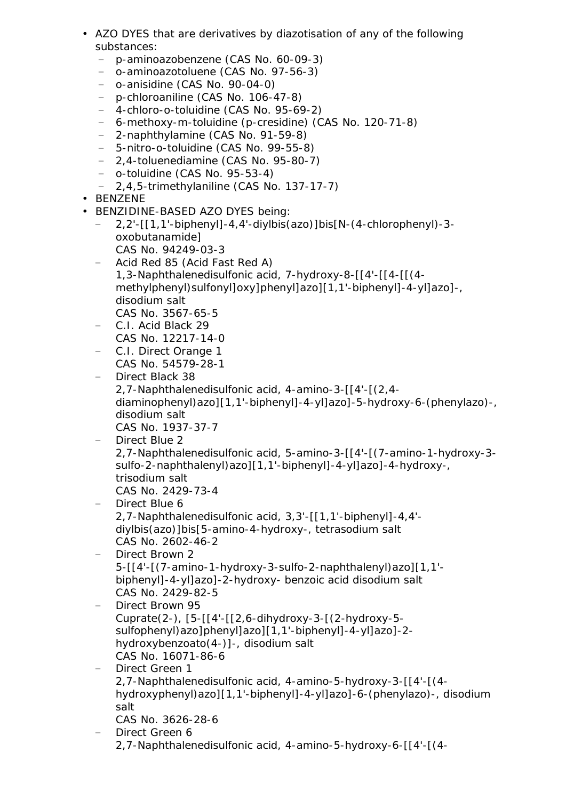- AZO DYES that are derivatives by diazotisation of any of the following substances:
	- − p-aminoazobenzene (CAS No. 60-09-3)
	- − o-aminoazotoluene (CAS No. 97-56-3)
	- − o-anisidine (CAS No. 90-04-0)
	- − p-chloroaniline (CAS No. 106-47-8)
	- − 4-chloro-o-toluidine (CAS No. 95-69-2)
	- − 6-methoxy-m-toluidine (p-cresidine) (CAS No. 120-71-8)
	- − 2-naphthylamine (CAS No. 91-59-8)
	- − 5-nitro-o-toluidine (CAS No. 99-55-8)
	- − 2,4-toluenediamine (CAS No. 95-80-7)
	- − o-toluidine (CAS No. 95-53-4)
	- − 2,4,5-trimethylaniline (CAS No. 137-17-7)
- BENZENE
- BENZIDINE-BASED AZO DYES being:
	- − 2,2'-[[1,1'-biphenyl]-4,4'-diylbis(azo)]bis[N-(4-chlorophenyl)-3 oxobutanamide]
	- CAS No. 94249-03-3
	- − Acid Red 85 (Acid Fast Red A) 1,3-Naphthalenedisulfonic acid, 7-hydroxy-8-[[4'-[[4-[[(4 methylphenyl)sulfonyl]oxy]phenyl]azo][1,1'-biphenyl]-4-yl]azo]-, disodium salt CAS No. 3567-65-5
	- − C.I. Acid Black 29 CAS No. 12217-14-0
	- − C.I. Direct Orange 1 CAS No. 54579-28-1

− Direct Black 38

- 2,7-Naphthalenedisulfonic acid, 4-amino-3-[[4'-[(2,4
	- diaminophenyl)azo][1,1'-biphenyl]-4-yl]azo]-5-hydroxy-6-(phenylazo)-, disodium salt
- CAS No. 1937-37-7
- − Direct Blue 2

2,7-Naphthalenedisulfonic acid, 5-amino-3-[[4'-[(7-amino-1-hydroxy-3 sulfo-2-naphthalenyl)azo][1,1'-biphenyl]-4-yl]azo]-4-hydroxy-, trisodium salt CAS No. 2429-73-4

- − Direct Blue 6 2,7-Naphthalenedisulfonic acid, 3,3'-[[1,1'-biphenyl]-4,4' diylbis(azo)]bis[5-amino-4-hydroxy-, tetrasodium salt CAS No. 2602-46-2
- − Direct Brown 2 5-[[4'-[(7-amino-1-hydroxy-3-sulfo-2-naphthalenyl)azo][1,1' biphenyl]-4-yl]azo]-2-hydroxy- benzoic acid disodium salt CAS No. 2429-82-5
- − Direct Brown 95 Cuprate(2-), [5-[[4'-[[2,6-dihydroxy-3-[(2-hydroxy-5 sulfophenyl)azo]phenyl]azo][1,1'-biphenyl]-4-yl]azo]-2 hydroxybenzoato(4-)]-, disodium salt CAS No. 16071-86-6
- Direct Green 1 2,7-Naphthalenedisulfonic acid, 4-amino-5-hydroxy-3-[[4'-[(4 hydroxyphenyl)azo][1,1'-biphenyl]-4-yl]azo]-6-(phenylazo)-, disodium salt CAS No. 3626-28-6
- Direct Green 6 2,7-Naphthalenedisulfonic acid, 4-amino-5-hydroxy-6-[[4'-[(4-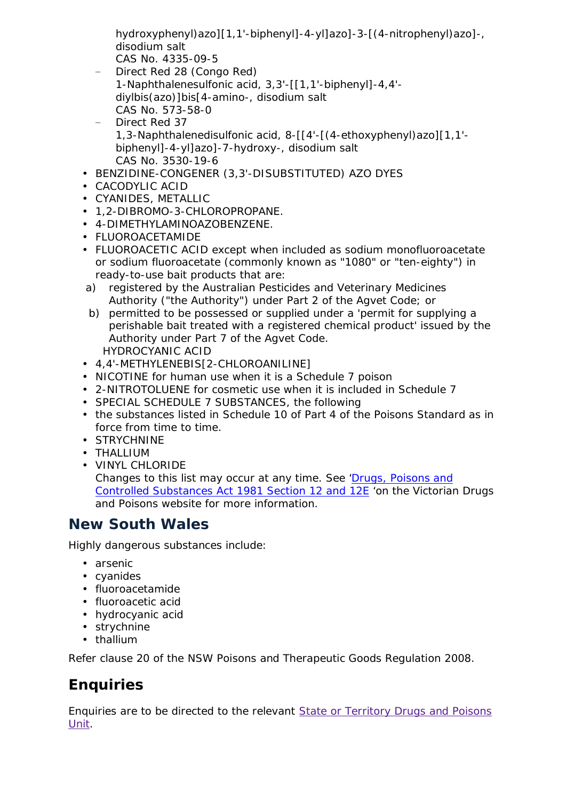hydroxyphenyl)azo][1,1'-biphenyl]-4-yl]azo]-3-[(4-nitrophenyl)azo]-, disodium salt CAS No. 4335-09-5

- − Direct Red 28 (Congo Red) 1-Naphthalenesulfonic acid, 3,3'-[[1,1'-biphenyl]-4,4' diylbis(azo)]bis[4-amino-, disodium salt CAS No. 573-58-0
- Direct Red 37 1,3-Naphthalenedisulfonic acid, 8-[[4'-[(4-ethoxyphenyl)azo][1,1' biphenyl]-4-yl]azo]-7-hydroxy-, disodium salt CAS No. 3530-19-6
- BENZIDINE-CONGENER (3,3'-DISUBSTITUTED) AZO DYES
- CACODYLIC ACID
- CYANIDES, METALLIC
- 1,2-DIBROMO-3-CHLOROPROPANE.
- 4-DIMETHYLAMINOAZOBENZENE.
- FLUOROACETAMIDE
- FLUOROACETIC ACID except when included as sodium monofluoroacetate or sodium fluoroacetate (commonly known as "1080" or "ten-eighty") in ready-to-use bait products that are:
- a) registered by the Australian Pesticides and Veterinary Medicines Authority ("the Authority") under Part 2 of the Agvet Code; or
- b) permitted to be possessed or supplied under a 'permit for supplying a perishable bait treated with a registered chemical product' issued by the Authority under Part 7 of the Agvet Code. HYDROCYANIC ACID
- 4,4'-METHYLENEBIS[2-CHLOROANILINE]
- NICOTINE for human use when it is a Schedule 7 poison
- 2-NITROTOLUENE for cosmetic use when it is included in Schedule 7
- SPECIAL SCHEDULE 7 SUBSTANCES, the following
- the substances listed in Schedule 10 of Part 4 of the Poisons Standard as in force from time to time.
- . STRYCHNINE
- THALLIUM
- VINYL CHLORIDE

Changes to this list may occur at any time. See '*[Drugs, Poisons and](https://www2.health.vic.gov.au/public-health/drugs-and-poisons/drugs-poisons-legislation/poisons-code)  [Controlled Substances Act 1981 Section 12 and 12E](https://www2.health.vic.gov.au/public-health/drugs-and-poisons/drugs-poisons-legislation/poisons-code) 'on* the Victorian Drugs and Poisons website for more information.

### **New South Wales**

Highly dangerous substances include:

- arsenic
- cyanides
- fluoroacetamide
- fluoroacetic acid
- hydrocyanic acid
- strychnine
- . thallium

Refer clause 20 of the *NSW Poisons and Therapeutic Goods Regulation 2008*.

## **Enquiries**

Enquiries are to be directed to the relevant [State or Territory Drugs and Poisons](https://www.tga.gov.au/contacts-stateterritory-medicines-poisons-regulation-units)  [Unit.](https://www.tga.gov.au/contacts-stateterritory-medicines-poisons-regulation-units)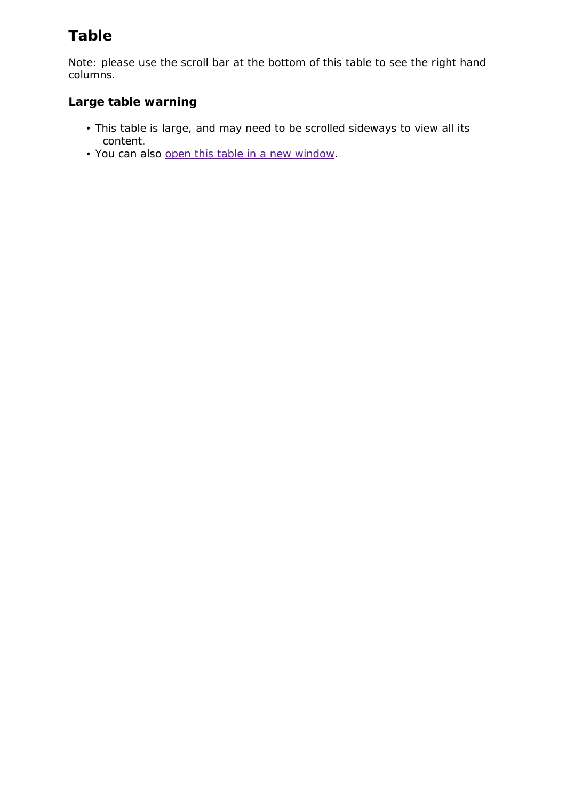# **Table**

Note: please use the scroll bar at the bottom of this table to see the right hand columns.

### **Large table warning**

- This table is large, and may need to be scrolled sideways to view all its content.
- You can also [open this table in a new window.](javascript:void(0);)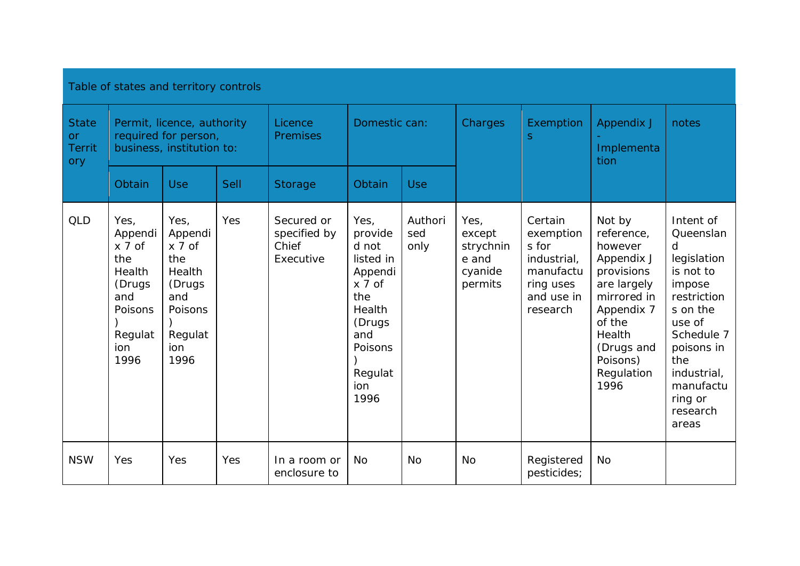| Table of states and territory controls     |                                                                                                               |                                                                                                               |      |                                                  |                                                                                                                                                 |                        |                                                            |                                                                                                  |                                                                                                                                                                             |                                                                                                                                                                                                                  |
|--------------------------------------------|---------------------------------------------------------------------------------------------------------------|---------------------------------------------------------------------------------------------------------------|------|--------------------------------------------------|-------------------------------------------------------------------------------------------------------------------------------------------------|------------------------|------------------------------------------------------------|--------------------------------------------------------------------------------------------------|-----------------------------------------------------------------------------------------------------------------------------------------------------------------------------|------------------------------------------------------------------------------------------------------------------------------------------------------------------------------------------------------------------|
| <b>State</b><br><b>or</b><br>Territ<br>ory | Permit, licence, authority<br>required for person,<br>business, institution to:                               |                                                                                                               |      | Licence<br>Premises                              | Domestic can:                                                                                                                                   |                        | Charges                                                    | Exemption<br>S.                                                                                  | Appendix J<br>Implementa<br>tion                                                                                                                                            | notes                                                                                                                                                                                                            |
|                                            | Obtain                                                                                                        | <b>Use</b>                                                                                                    | Sell | Storage                                          | Obtain                                                                                                                                          | <b>Use</b>             |                                                            |                                                                                                  |                                                                                                                                                                             |                                                                                                                                                                                                                  |
| <b>QLD</b>                                 | Yes,<br>Appendi<br>$x \overline{7}$ of<br>the<br>Health<br>(Drugs<br>and<br>Poisons<br>Regulat<br>ion<br>1996 | Yes,<br>Appendi<br>$x \overline{7}$ of<br>the<br>Health<br>(Drugs<br>and<br>Poisons<br>Regulat<br>ion<br>1996 | Yes  | Secured or<br>specified by<br>Chief<br>Executive | Yes,<br>provide<br>d not<br>listed in<br>Appendi<br>$x \overline{7}$ of<br>the<br>Health<br>(Drugs)<br>and<br>Poisons<br>Regulat<br>ion<br>1996 | Authori<br>sed<br>only | Yes,<br>except<br>strychnin<br>e and<br>cyanide<br>permits | Certain<br>exemption<br>s for<br>industrial,<br>manufactu<br>ring uses<br>and use in<br>research | Not by<br>reference,<br>however<br>Appendix J<br>provisions<br>are largely<br>mirrored in<br>Appendix 7<br>of the<br>Health<br>(Drugs and<br>Poisons)<br>Regulation<br>1996 | Intent of<br>Queenslan<br><sub>d</sub><br>legislation<br>is not to<br>impose<br>restriction<br>s on the<br>use of<br>Schedule 7<br>poisons in<br>the<br>industrial,<br>manufactu<br>ring or<br>research<br>areas |
| <b>NSW</b>                                 | Yes                                                                                                           | Yes                                                                                                           | Yes  | In a room or<br>enclosure to                     | <b>No</b>                                                                                                                                       | <b>No</b>              | <b>No</b>                                                  | Registered<br>pesticides;                                                                        | <b>No</b>                                                                                                                                                                   |                                                                                                                                                                                                                  |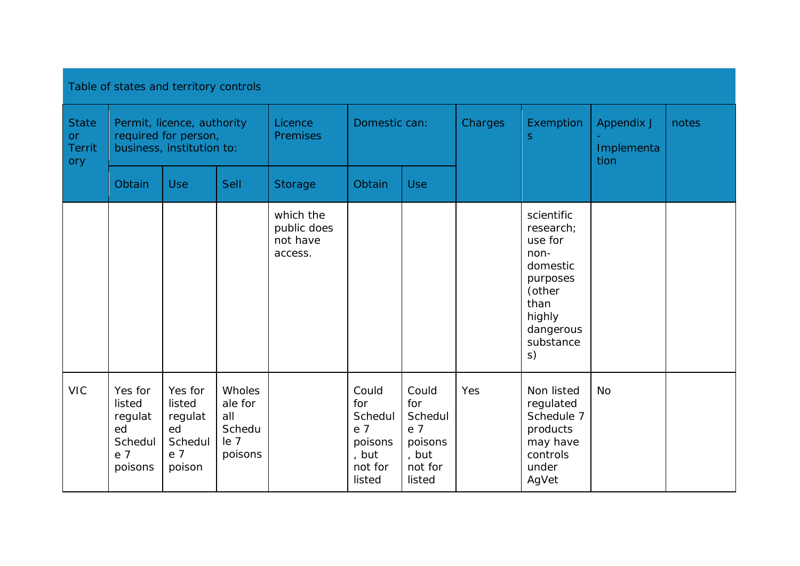| Table of states and territory controls     |                                                                                 |                                                                |                                                        |                                                 |                                                                                    |                                                                         |         |                                                                                                                                |                                  |       |
|--------------------------------------------|---------------------------------------------------------------------------------|----------------------------------------------------------------|--------------------------------------------------------|-------------------------------------------------|------------------------------------------------------------------------------------|-------------------------------------------------------------------------|---------|--------------------------------------------------------------------------------------------------------------------------------|----------------------------------|-------|
| <b>State</b><br>or<br><b>Territ</b><br>ory | Permit, licence, authority<br>required for person,<br>business, institution to: |                                                                |                                                        | Licence<br>Premises                             | Domestic can:                                                                      |                                                                         | Charges | Exemption<br><sub>S</sub>                                                                                                      | Appendix J<br>Implementa<br>tion | notes |
|                                            | Obtain                                                                          | <b>Use</b>                                                     | Sell                                                   | Storage                                         | Obtain                                                                             | <b>Use</b>                                                              |         |                                                                                                                                |                                  |       |
|                                            |                                                                                 |                                                                |                                                        | which the<br>public does<br>not have<br>access. |                                                                                    |                                                                         |         | scientific<br>research;<br>use for<br>non-<br>domestic<br>purposes<br>(other<br>than<br>highly<br>dangerous<br>substance<br>s) |                                  |       |
| <b>VIC</b>                                 | Yes for<br>listed<br>regulat<br>ed<br>Schedul<br>e 7<br>poisons                 | Yes for<br>listed<br>regulat<br>ed<br>Schedul<br>e 7<br>poison | Wholes<br>ale for<br>all<br>Schedu<br>leq 7<br>poisons |                                                 | Could<br>for<br>Schedul<br>e <sub>7</sub><br>poisons<br>, but<br>not for<br>listed | Could<br>for<br>Schedul<br>e 7<br>poisons<br>, but<br>not for<br>listed | Yes     | Non listed<br>regulated<br>Schedule 7<br>products<br>may have<br>controls<br>under<br>AgVet                                    | <b>No</b>                        |       |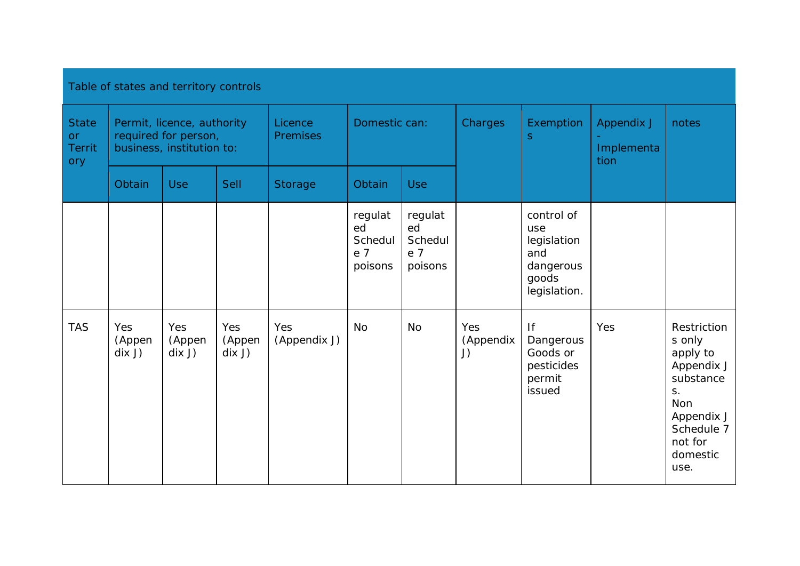| Table of states and territory controls     |                                                                                 |                                    |                                    |                            |                                            |                                            |                        |                                                                               |                                  |                                                                                                                                      |
|--------------------------------------------|---------------------------------------------------------------------------------|------------------------------------|------------------------------------|----------------------------|--------------------------------------------|--------------------------------------------|------------------------|-------------------------------------------------------------------------------|----------------------------------|--------------------------------------------------------------------------------------------------------------------------------------|
| <b>State</b><br>or<br><b>Territ</b><br>ory | Permit, licence, authority<br>required for person,<br>business, institution to: |                                    |                                    | Licence<br><b>Premises</b> | Domestic can:                              |                                            | <b>Charges</b>         | Exemption<br><sub>S</sub>                                                     | Appendix J<br>Implementa<br>tion | notes                                                                                                                                |
|                                            | Obtain                                                                          | <b>Use</b>                         | Sell                               | Storage                    | Obtain                                     | <b>Use</b>                                 |                        |                                                                               |                                  |                                                                                                                                      |
|                                            |                                                                                 |                                    |                                    |                            | regulat<br>ed<br>Schedul<br>e 7<br>poisons | regulat<br>ed<br>Schedul<br>e 7<br>poisons |                        | control of<br>use<br>legislation<br>and<br>dangerous<br>goods<br>legislation. |                                  |                                                                                                                                      |
| <b>TAS</b>                                 | Yes<br>(Appen<br>$\text{d}$ ix J)                                               | Yes<br>(Appen<br>$\frac{d}{dx}$ J) | Yes<br>(Appen<br>$\frac{d}{dx}$ J) | Yes<br>(Appendix J)        | <b>No</b>                                  | <b>No</b>                                  | Yes<br>(Appendix<br>J) | f <br>Dangerous<br>Goods or<br>pesticides<br>permit<br>issued                 | Yes                              | Restriction<br>s only<br>apply to<br>Appendix J<br>substance<br>S.<br>Non<br>Appendix J<br>Schedule 7<br>not for<br>domestic<br>use. |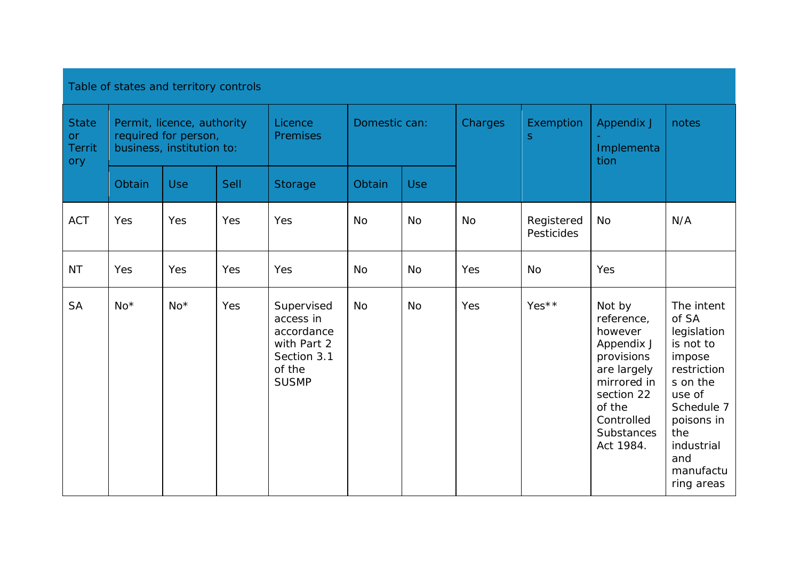| Table of states and territory controls     |                                                                                 |            |      |                                                                                               |               |            |           |                           |                                                                                                                                                                   |                                                                                                                                                                                   |
|--------------------------------------------|---------------------------------------------------------------------------------|------------|------|-----------------------------------------------------------------------------------------------|---------------|------------|-----------|---------------------------|-------------------------------------------------------------------------------------------------------------------------------------------------------------------|-----------------------------------------------------------------------------------------------------------------------------------------------------------------------------------|
| <b>State</b><br>or<br><b>Territ</b><br>ory | Permit, licence, authority<br>required for person,<br>business, institution to: |            |      | Licence<br><b>Premises</b>                                                                    | Domestic can: |            | Charges   | Exemption<br><sub>S</sub> | <b>Appendix J</b><br>Implementa<br>tion                                                                                                                           | notes                                                                                                                                                                             |
|                                            | Obtain                                                                          | <b>Use</b> | Sell | Storage                                                                                       | Obtain        | <b>Use</b> |           |                           |                                                                                                                                                                   |                                                                                                                                                                                   |
| <b>ACT</b>                                 | Yes                                                                             | Yes        | Yes  | Yes                                                                                           | <b>No</b>     | <b>No</b>  | <b>No</b> | Registered<br>Pesticides  | <b>No</b>                                                                                                                                                         | N/A                                                                                                                                                                               |
| <b>NT</b>                                  | Yes                                                                             | Yes        | Yes  | Yes                                                                                           | <b>No</b>     | <b>No</b>  | Yes       | <b>No</b>                 | Yes                                                                                                                                                               |                                                                                                                                                                                   |
| <b>SA</b>                                  | $No*$                                                                           | $No*$      | Yes  | Supervised<br>access in<br>accordance<br>with Part 2<br>Section 3.1<br>of the<br><b>SUSMP</b> | <b>No</b>     | <b>No</b>  | Yes       | Yes**                     | Not by<br>reference,<br>however<br>Appendix J<br>provisions<br>are largely<br>mirrored in<br>section 22<br>of the<br>Controlled<br><b>Substances</b><br>Act 1984. | The intent<br>of SA<br>legislation<br>is not to<br>impose<br>restriction<br>s on the<br>use of<br>Schedule 7<br>poisons in<br>the<br>industrial<br>and<br>manufactu<br>ring areas |